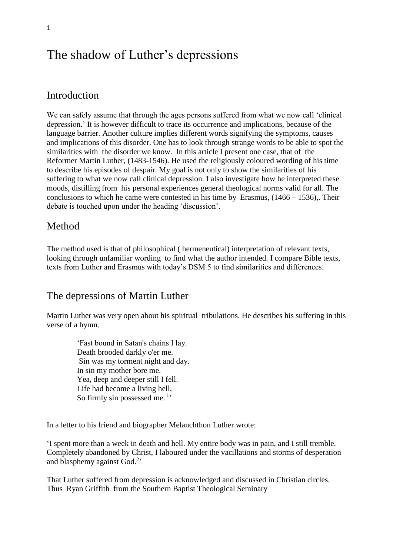# The shadow of Luther's depressions

### Introduction

We can safely assume that through the ages persons suffered from what we now call 'clinical depression.' It is however difficult to trace its occurrence and implications, because of the language barrier. Another culture implies different words signifying the symptoms, causes and implications of this disorder. One has to look through strange words to be able to spot the similarities with the disorder we know. In this article I present one case, that of the Reformer Martin Luther, (1483-1546). He used the religiously coloured wording of his time to describe his episodes of despair. My goal is not only to show the similarities of his suffering to what we now call clinical depression. I also investigate how he interpreted these moods, distilling from his personal experiences general theological norms valid for all. The conclusions to which he came were contested in his time by Erasmus,  $(1466 - 1536)$ . Their debate is touched upon under the heading 'discussion'.

### Method

The method used is that of philosophical ( hermeneutical) interpretation of relevant texts, looking through unfamiliar wording to find what the author intended. I compare Bible texts, texts from Luther and Erasmus with today's DSM 5 to find similarities and differences.

### The depressions of Martin Luther

Martin Luther was very open about his spiritual tribulations. He describes his suffering in this verse of a hymn.

> 'Fast bound in Satan's chains I lay. Death brooded darkly o'er me. Sin was my torment night and day. In sin my mother bore me. Yea, deep and deeper still I fell. Life had become a living hell, So firmly sin possessed me.<sup>1</sup>'

In a letter to his friend and biographer Melanchthon Luther wrote:

'I spent more than a week in death and hell. My entire body was in pain, and I still tremble. Completely abandoned by Christ, I laboured under the vacillations and storms of desperation and blasphemy against God.<sup>2</sup>'

That Luther suffered from depression is acknowledged and discussed in Christian circles. Thus Ryan Griffith from the Southern Baptist Theological Seminary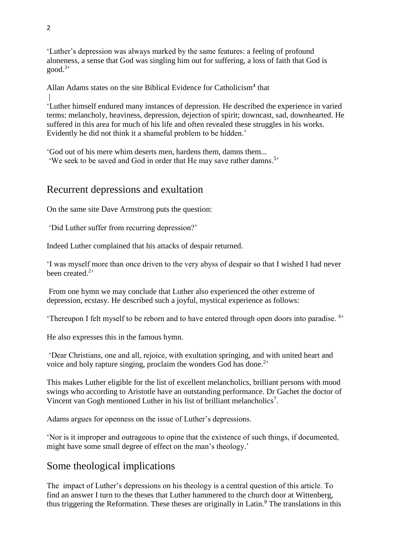'Luther's depression was always marked by the same features: a feeling of profound aloneness, a sense that God was singling him out for suffering, a loss of faith that God is good. 3 '

Allan Adams states on the site Biblical Evidence for Catholicism<sup>4</sup> that |

'Luther himself endured many instances of depression. He described the experience in varied terms: melancholy, heaviness, depression, dejection of spirit; downcast, sad, downhearted. He suffered in this area for much of his life and often revealed these struggles in his works. Evidently he did not think it a shameful problem to be hidden.'

'God out of his mere whim deserts men, hardens them, damns them...

'We seek to be saved and God in order that He may save rather damns.<sup>5</sup>'

# Recurrent depressions and exultation

On the same site Dave Armstrong puts the question:

'Did Luther suffer from recurring depression?'

Indeed Luther complained that his attacks of despair returned.

'I was myself more than once driven to the very abyss of despair so that I wished I had never been created.<sup>2</sup>

From one hymn we may conclude that Luther also experienced the other extreme of depression, ecstasy. He described such a joyful, mystical experience as follows:

'Thereupon I felt myself to be reborn and to have entered through open doors into paradise.<sup>6</sup>'

He also expresses this in the famous hymn.

'Dear Christians, one and all, rejoice, with exultation springing, and with united heart and voice and holy rapture singing, proclaim the wonders God has done.<sup>2</sup>

This makes Luther eligible for the list of excellent melancholics, brilliant persons with mood swings who according to Aristotle have an outstanding performance. Dr Gachet the doctor of Vincent van Gogh mentioned Luther in his list of brilliant melancholics<sup>7</sup>.

Adams argues for openness on the issue of Luther's depressions.

'Nor is it improper and outrageous to opine that the existence of such things, if documented, might have some small degree of effect on the man's theology.'

# Some theological implications

The impact of Luther's depressions on his theology is a central question of this article. To find an answer I turn to the theses that Luther hammered to the church door at Wittenberg, thus triggering the Reformation. These theses are originally in Latin.<sup>8</sup> The translations in this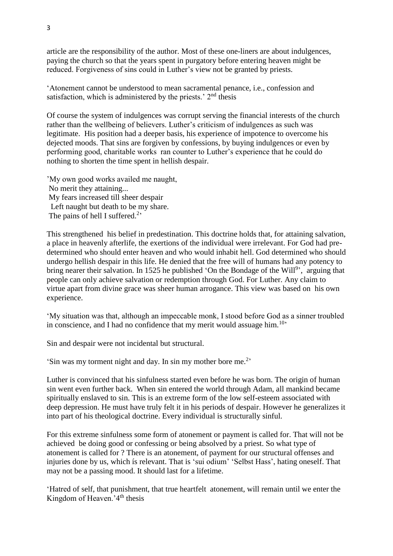article are the responsibility of the author. Most of these one-liners are about indulgences, paying the church so that the years spent in purgatory before entering heaven might be reduced. Forgiveness of sins could in Luther's view not be granted by priests.

'Atonement cannot be understood to mean sacramental penance, i.e., confession and satisfaction, which is administered by the priests.'  $2<sup>nd</sup>$  thesis

Of course the system of indulgences was corrupt serving the financial interests of the church rather than the wellbeing of believers. Luther's criticism of indulgences as such was legitimate. His position had a deeper basis, his experience of impotence to overcome his dejected moods. That sins are forgiven by confessions, by buying indulgences or even by performing good, charitable works ran counter to Luther's experience that he could do nothing to shorten the time spent in hellish despair.

'My own good works availed me naught, No merit they attaining... My fears increased till sheer despair Left naught but death to be my share. The pains of hell I suffered.<sup>2</sup>'

This strengthened his belief in predestination. This doctrine holds that, for attaining salvation, a place in heavenly afterlife, the exertions of the individual were irrelevant. For God had predetermined who should enter heaven and who would inhabit hell. God determined who should undergo hellish despair in this life. He denied that the free will of humans had any potency to bring nearer their salvation. In 1525 he published 'On the Bondage of the Will<sup>9</sup>', arguing that people can only achieve salvation or redemption through God. For Luther. Any claim to virtue apart from divine grace was sheer human arrogance. This view was based on his own experience.

'My situation was that, although an impeccable monk, I stood before God as a sinner troubled in conscience, and I had no confidence that my merit would assuage him.<sup>10</sup>

Sin and despair were not incidental but structural.

'Sin was my torment night and day. In sin my mother bore me.<sup>2</sup>'

Luther is convinced that his sinfulness started even before he was born. The origin of human sin went even further back. When sin entered the world through Adam, all mankind became spiritually enslaved to sin. This is an extreme form of the low self-esteem associated with deep depression. He must have truly felt it in his periods of despair. However he generalizes it into part of his theological doctrine. Every individual is structurally sinful.

For this extreme sinfulness some form of atonement or payment is called for. That will not be achieved be doing good or confessing or being absolved by a priest. So what type of atonement is called for ? There is an atonement, of payment for our structural offenses and injuries done by us, which ís relevant. That is 'sui odium' 'Selbst Hass', hating oneself. That may not be a passing mood. It should last for a lifetime.

'Hatred of self, that punishment, that true heartfelt atonement, will remain until we enter the Kingdom of Heaven.'4<sup>th</sup> thesis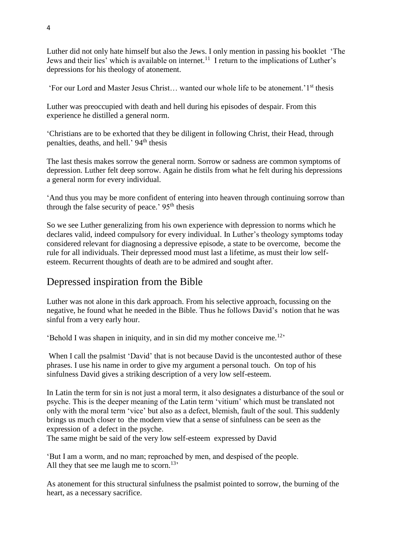Luther did not only hate himself but also the Jews. I only mention in passing his booklet 'The Jews and their lies' which is available on internet.<sup>11</sup> I return to the implications of Luther's depressions for his theology of atonement.

'For our Lord and Master Jesus Christ… wanted our whole life to be atonement.'1st thesis

Luther was preoccupied with death and hell during his episodes of despair. From this experience he distilled a general norm.

'Christians are to be exhorted that they be diligent in following Christ, their Head, through penalties, deaths, and hell.'  $94<sup>th</sup>$  thesis

The last thesis makes sorrow the general norm. Sorrow or sadness are common symptoms of depression. Luther felt deep sorrow. Again he distils from what he felt during his depressions a general norm for every individual.

'And thus you may be more confident of entering into heaven through continuing sorrow than through the false security of peace.'  $95<sup>th</sup>$  thesis

So we see Luther generalizing from his own experience with depression to norms which he declares valid, indeed compulsory for every individual. In Luther's theology symptoms today considered relevant for diagnosing a depressive episode, a state to be overcome, become the rule for all individuals. Their depressed mood must last a lifetime, as must their low selfesteem. Recurrent thoughts of death are to be admired and sought after.

## Depressed inspiration from the Bible

Luther was not alone in this dark approach. From his selective approach, focussing on the negative, he found what he needed in the Bible. Thus he follows David's notion that he was sinful from a very early hour.

'Behold I was shapen in iniquity, and in sin did my mother conceive me.<sup>12</sup>'

When I call the psalmist 'David' that is not because David is the uncontested author of these phrases. I use his name in order to give my argument a personal touch. On top of his sinfulness David gives a striking description of a very low self-esteem.

In Latin the term for sin is not just a moral term, it also designates a disturbance of the soul or psyche. This is the deeper meaning of the Latin term 'vitium' which must be translated not only with the moral term 'vice' but also as a defect, blemish, fault of the soul. This suddenly brings us much closer to the modern view that a sense of sinfulness can be seen as the expression of a defect in the psyche.

The same might be said of the very low self-esteem expressed by David

'But I am a worm, and no man; reproached by men, and despised of the people. All they that see me laugh me to scorn.<sup>13</sup>

As atonement for this structural sinfulness the psalmist pointed to sorrow, the burning of the heart, as a necessary sacrifice.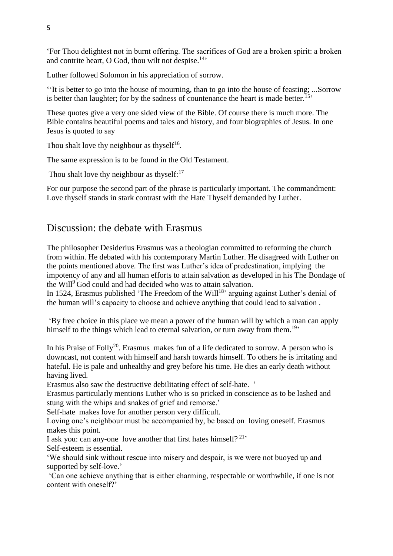'For Thou delightest not in burnt offering. The sacrifices of God are a broken spirit: a broken and contrite heart, O God, thou wilt not despise. $14$ ,

Luther followed Solomon in his appreciation of sorrow.

''It is better to go into the house of mourning, than to go into the house of feasting; ...Sorrow is better than laughter; for by the sadness of countenance the heart is made better.<sup>15</sup>

These quotes give a very one sided view of the Bible. Of course there is much more. The Bible contains beautiful poems and tales and history, and four biographies of Jesus. In one Jesus is quoted to say

Thou shalt love thy neighbour as thysel $f^{16}$ .

The same expression is to be found in the Old Testament.

Thou shalt love thy neighbour as thyself: $17$ 

For our purpose the second part of the phrase is particularly important. The commandment: Love thyself stands in stark contrast with the Hate Thyself demanded by Luther.

### Discussion: the debate with Erasmus

The philosopher Desiderius Erasmus was a theologian committed to reforming the church from within. He debated with his contemporary Martin Luther. He disagreed with Luther on the points mentioned above. The first was Luther's idea of predestination, implying the impotency of any and all human efforts to attain salvation as developed in his The Bondage of the Will<sup>9</sup> God could and had decided who was to attain salvation.

In 1524, Erasmus published 'The Freedom of the Will<sup>18</sup>' arguing against Luther's denial of the human will's capacity to choose and achieve anything that could lead to salvation .

'By free choice in this place we mean a power of the human will by which a man can apply himself to the things which lead to eternal salvation, or turn away from them.<sup>19</sup>

In his Praise of Folly<sup>20</sup>. Erasmus makes fun of a life dedicated to sorrow. A person who is downcast, not content with himself and harsh towards himself. To others he is irritating and hateful. He is pale and unhealthy and grey before his time. He dies an early death without having lived.

Erasmus also saw the destructive debilitating effect of self-hate. '

Erasmus particularly mentions Luther who is so pricked in conscience as to be lashed and stung with the whips and snakes of grief and remorse.'

Self-hate makes love for another person very difficult.

Loving one's neighbour must be accompanied by, be based on loving oneself. Erasmus makes this point.

I ask you: can any-one love another that first hates himself?<sup>21</sup>

Self-esteem is essential.

'We should sink without rescue into misery and despair, is we were not buoyed up and supported by self-love.'

'Can one achieve anything that is either charming, respectable or worthwhile, if one is not content with oneself?'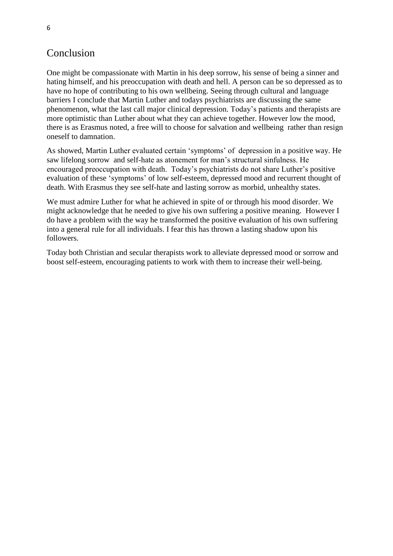## Conclusion

One might be compassionate with Martin in his deep sorrow, his sense of being a sinner and hating himself, and his preoccupation with death and hell. A person can be so depressed as to have no hope of contributing to his own wellbeing. Seeing through cultural and language barriers I conclude that Martin Luther and todays psychiatrists are discussing the same phenomenon, what the last call major clinical depression. Today's patients and therapists are more optimistic than Luther about what they can achieve together. However low the mood, there is as Erasmus noted, a free will to choose for salvation and wellbeing rather than resign oneself to damnation.

As showed, Martin Luther evaluated certain 'symptoms' of depression in a positive way. He saw lifelong sorrow and self-hate as atonement for man's structural sinfulness. He encouraged preoccupation with death. Today's psychiatrists do not share Luther's positive evaluation of these 'symptoms' of low self-esteem, depressed mood and recurrent thought of death. With Erasmus they see self-hate and lasting sorrow as morbid, unhealthy states.

We must admire Luther for what he achieved in spite of or through his mood disorder. We might acknowledge that he needed to give his own suffering a positive meaning. However I do have a problem with the way he transformed the positive evaluation of his own suffering into a general rule for all individuals. I fear this has thrown a lasting shadow upon his followers.

Today both Christian and secular therapists work to alleviate depressed mood or sorrow and boost self-esteem, encouraging patients to work with them to increase their well-being.